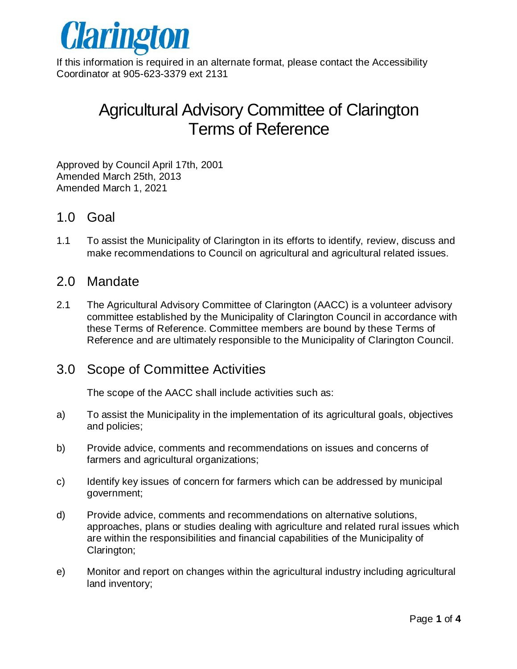

If this information is required in an alternate format, please contact the Accessibility Coordinator at 905-623-3379 ext 2131

# Agricultural Advisory Committee of Clarington Terms of Reference

Approved by Council April 17th, 2001 Amended March 25th, 2013 Amended March 1, 2021

#### 1.0 Goal

1.1 To assist the Municipality of Clarington in its efforts to identify, review, discuss and make recommendations to Council on agricultural and agricultural related issues.

## 2.0 Mandate

2.1 The Agricultural Advisory Committee of Clarington (AACC) is a volunteer advisory committee established by the Municipality of Clarington Council in accordance with these Terms of Reference. Committee members are bound by these Terms of Reference and are ultimately responsible to the Municipality of Clarington Council.

## 3.0 Scope of Committee Activities

The scope of the AACC shall include activities such as:

- a) To assist the Municipality in the implementation of its agricultural goals, objectives and policies;
- b) Provide advice, comments and recommendations on issues and concerns of farmers and agricultural organizations;
- c) Identify key issues of concern for farmers which can be addressed by municipal government;
- d) Provide advice, comments and recommendations on alternative solutions, approaches, plans or studies dealing with agriculture and related rural issues which are within the responsibilities and financial capabilities of the Municipality of Clarington;
- e) Monitor and report on changes within the agricultural industry including agricultural land inventory;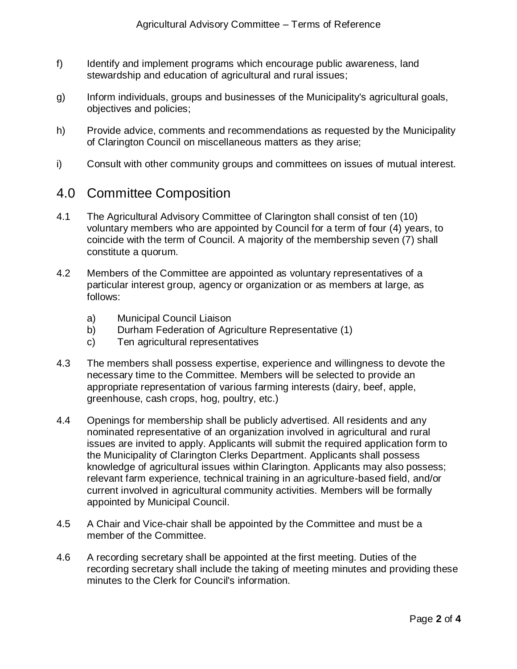- f) Identify and implement programs which encourage public awareness, land stewardship and education of agricultural and rural issues;
- g) Inform individuals, groups and businesses of the Municipality's agricultural goals, objectives and policies;
- h) Provide advice, comments and recommendations as requested by the Municipality of Clarington Council on miscellaneous matters as they arise;
- i) Consult with other community groups and committees on issues of mutual interest.

#### 4.0 Committee Composition

- 4.1 The Agricultural Advisory Committee of Clarington shall consist of ten (10) voluntary members who are appointed by Council for a term of four (4) years, to coincide with the term of Council. A majority of the membership seven (7) shall constitute a quorum.
- 4.2 Members of the Committee are appointed as voluntary representatives of a particular interest group, agency or organization or as members at large, as follows:
	- a) Municipal Council Liaison
	- b) Durham Federation of Agriculture Representative (1)
	- c) Ten agricultural representatives
- 4.3 The members shall possess expertise, experience and willingness to devote the necessary time to the Committee. Members will be selected to provide an appropriate representation of various farming interests (dairy, beef, apple, greenhouse, cash crops, hog, poultry, etc.)
- 4.4 Openings for membership shall be publicly advertised. All residents and any nominated representative of an organization involved in agricultural and rural issues are invited to apply. Applicants will submit the required application form to the Municipality of Clarington Clerks Department. Applicants shall possess knowledge of agricultural issues within Clarington. Applicants may also possess; relevant farm experience, technical training in an agriculture-based field, and/or current involved in agricultural community activities. Members will be formally appointed by Municipal Council.
- 4.5 A Chair and Vice-chair shall be appointed by the Committee and must be a member of the Committee.
- 4.6 A recording secretary shall be appointed at the first meeting. Duties of the recording secretary shall include the taking of meeting minutes and providing these minutes to the Clerk for Council's information.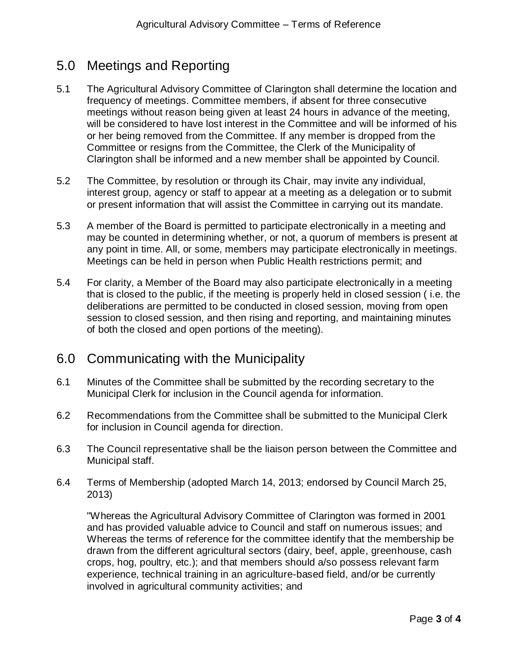# 5.0 Meetings and Reporting

- 5.1 The Agricultural Advisory Committee of Clarington shall determine the location and frequency of meetings. Committee members, if absent for three consecutive meetings without reason being given at least 24 hours in advance of the meeting, will be considered to have lost interest in the Committee and will be informed of his or her being removed from the Committee. If any member is dropped from the Committee or resigns from the Committee, the Clerk of the Municipality of Clarington shall be informed and a new member shall be appointed by Council.
- 5.2 The Committee, by resolution or through its Chair, may invite any individual, interest group, agency or staff to appear at a meeting as a delegation or to submit or present information that will assist the Committee in carrying out its mandate.
- 5.3 A member of the Board is permitted to participate electronically in a meeting and may be counted in determining whether, or not, a quorum of members is present at any point in time. All, or some, members may participate electronically in meetings. Meetings can be held in person when Public Health restrictions permit; and
- 5.4 For clarity, a Member of the Board may also participate electronically in a meeting that is closed to the public, if the meeting is properly held in closed session ( i.e. the deliberations are permitted to be conducted in closed session, moving from open session to closed session, and then rising and reporting, and maintaining minutes of both the closed and open portions of the meeting).

#### 6.0 Communicating with the Municipality

- 6.1 Minutes of the Committee shall be submitted by the recording secretary to the Municipal Clerk for inclusion in the Council agenda for information.
- 6.2 Recommendations from the Committee shall be submitted to the Municipal Clerk for inclusion in Council agenda for direction.
- 6.3 The Council representative shall be the liaison person between the Committee and Municipal staff.
- 6.4 Terms of Membership (adopted March 14, 2013; endorsed by Council March 25, 2013)

"Whereas the Agricultural Advisory Committee of Clarington was formed in 2001 and has provided valuable advice to Council and staff on numerous issues; and Whereas the terms of reference for the committee identify that the membership be drawn from the different agricultural sectors (dairy, beef, apple, greenhouse, cash crops, hog, poultry, etc.); and that members should a/so possess relevant farm experience, technical training in an agriculture-based field, and/or be currently involved in agricultural community activities; and